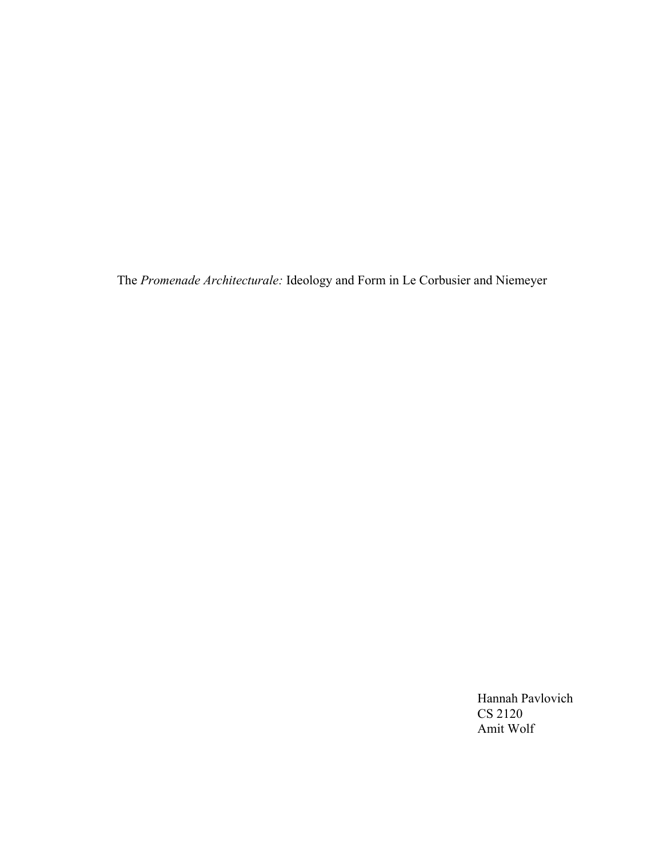The *Promenade Architecturale:* Ideology and Form in Le Corbusier and Niemeyer

Hannah Pavlovich CS 2120 Amit Wolf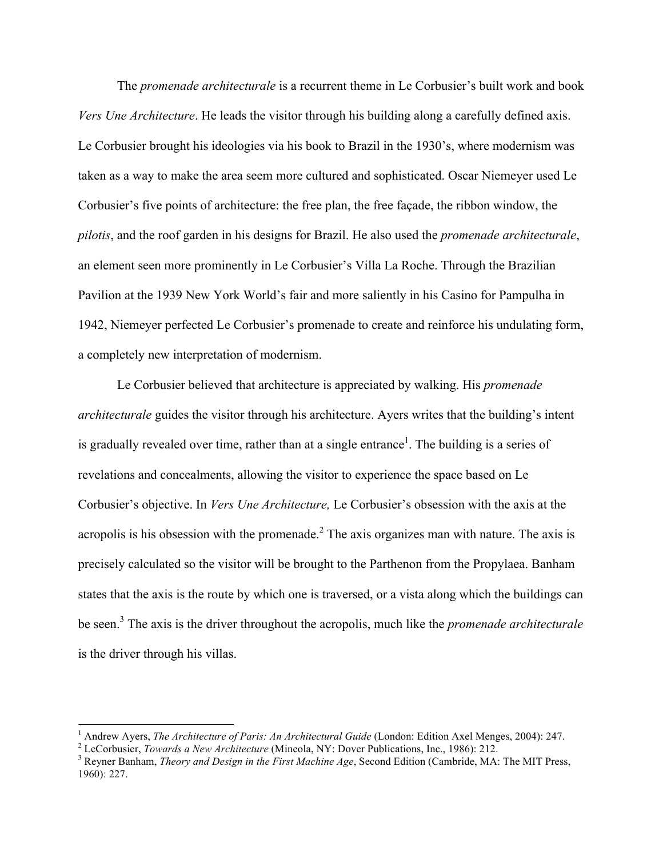The *promenade architecturale* is a recurrent theme in Le Corbusier's built work and book *Vers Une Architecture*. He leads the visitor through his building along a carefully defined axis. Le Corbusier brought his ideologies via his book to Brazil in the 1930's, where modernism was taken as a way to make the area seem more cultured and sophisticated. Oscar Niemeyer used Le Corbusier's five points of architecture: the free plan, the free façade, the ribbon window, the *pilotis*, and the roof garden in his designs for Brazil. He also used the *promenade architecturale*, an element seen more prominently in Le Corbusier's Villa La Roche. Through the Brazilian Pavilion at the 1939 New York World's fair and more saliently in his Casino for Pampulha in 1942, Niemeyer perfected Le Corbusier's promenade to create and reinforce his undulating form, a completely new interpretation of modernism.

Le Corbusier believed that architecture is appreciated by walking. His *promenade architecturale* guides the visitor through his architecture. Ayers writes that the building's intent is gradually revealed over time, rather than at a single entrance<sup>1</sup>. The building is a series of revelations and concealments, allowing the visitor to experience the space based on Le Corbusier's objective. In *Vers Une Architecture,* Le Corbusier's obsession with the axis at the acropolis is his obsession with the promenade.<sup>2</sup> The axis organizes man with nature. The axis is precisely calculated so the visitor will be brought to the Parthenon from the Propylaea. Banham states that the axis is the route by which one is traversed, or a vista along which the buildings can be seen.<sup>3</sup> The axis is the driver throughout the acropolis, much like the *promenade architecturale* is the driver through his villas.

<sup>&</sup>lt;sup>1</sup> Andrew Ayers, *The Architecture of Paris: An Architectural Guide* (London: Edition Axel Menges, 2004): 247.<br><sup>2</sup> LeCorbusier, *Towards a New Architecture* (Mineola, NY: Dover Publications, Inc., 1986): 212.<br><sup>3</sup> Revner

<sup>1960): 227.</sup>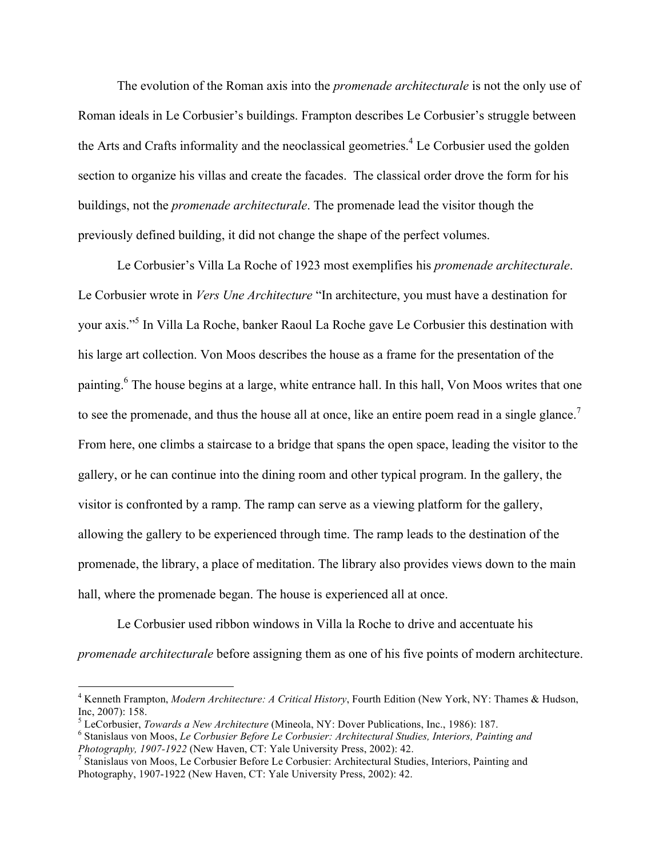The evolution of the Roman axis into the *promenade architecturale* is not the only use of Roman ideals in Le Corbusier's buildings. Frampton describes Le Corbusier's struggle between the Arts and Crafts informality and the neoclassical geometries.<sup>4</sup> Le Corbusier used the golden section to organize his villas and create the facades. The classical order drove the form for his buildings, not the *promenade architecturale*. The promenade lead the visitor though the previously defined building, it did not change the shape of the perfect volumes.

Le Corbusier's Villa La Roche of 1923 most exemplifies his *promenade architecturale*. Le Corbusier wrote in *Vers Une Architecture* "In architecture, you must have a destination for your axis."5 In Villa La Roche, banker Raoul La Roche gave Le Corbusier this destination with his large art collection. Von Moos describes the house as a frame for the presentation of the painting.<sup>6</sup> The house begins at a large, white entrance hall. In this hall, Von Moos writes that one to see the promenade, and thus the house all at once, like an entire poem read in a single glance.<sup>7</sup> From here, one climbs a staircase to a bridge that spans the open space, leading the visitor to the gallery, or he can continue into the dining room and other typical program. In the gallery, the visitor is confronted by a ramp. The ramp can serve as a viewing platform for the gallery, allowing the gallery to be experienced through time. The ramp leads to the destination of the promenade, the library, a place of meditation. The library also provides views down to the main hall, where the promenade began. The house is experienced all at once.

Le Corbusier used ribbon windows in Villa la Roche to drive and accentuate his *promenade architecturale* before assigning them as one of his five points of modern architecture.

 <sup>4</sup> Kenneth Frampton, *Modern Architecture: A Critical History*, Fourth Edition (New York, NY: Thames & Hudson,

Inc, 2007): 158.<br><sup>5</sup> LeCorbusier, *Towards a New Architecture* (Mineola, NY: Dover Publications, Inc., 1986): 187.<br><sup>6</sup> Stanislaus von Moos, *Le Corbusier Before Le Corbusier: Architectural Studies, Interiors, Painting and* 

<sup>&</sup>lt;sup>7</sup> Stanislaus von Moos, Le Corbusier Before Le Corbusier: Architectural Studies, Interiors, Painting and Photography, 1907-1922 (New Haven, CT: Yale University Press, 2002): 42.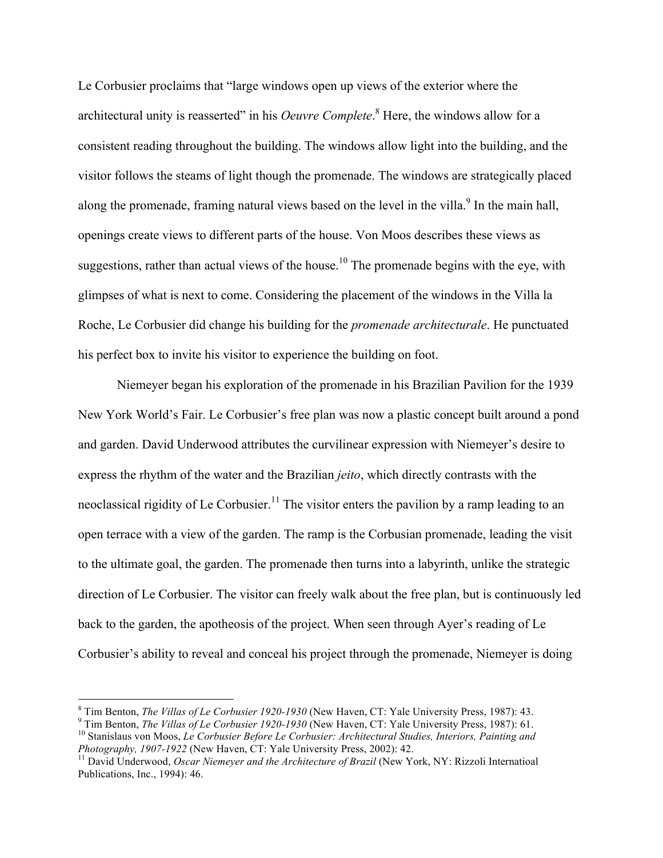Le Corbusier proclaims that "large windows open up views of the exterior where the architectural unity is reasserted" in his *Oeuvre Complete*.<sup>8</sup> Here, the windows allow for a consistent reading throughout the building. The windows allow light into the building, and the visitor follows the steams of light though the promenade. The windows are strategically placed along the promenade, framing natural views based on the level in the villa.<sup>9</sup> In the main hall, openings create views to different parts of the house. Von Moos describes these views as suggestions, rather than actual views of the house.<sup>10</sup> The promenade begins with the eye, with glimpses of what is next to come. Considering the placement of the windows in the Villa la Roche, Le Corbusier did change his building for the *promenade architecturale*. He punctuated his perfect box to invite his visitor to experience the building on foot.

Niemeyer began his exploration of the promenade in his Brazilian Pavilion for the 1939 New York World's Fair. Le Corbusier's free plan was now a plastic concept built around a pond and garden. David Underwood attributes the curvilinear expression with Niemeyer's desire to express the rhythm of the water and the Brazilian *jeito*, which directly contrasts with the neoclassical rigidity of Le Corbusier.<sup>11</sup> The visitor enters the pavilion by a ramp leading to an open terrace with a view of the garden. The ramp is the Corbusian promenade, leading the visit to the ultimate goal, the garden. The promenade then turns into a labyrinth, unlike the strategic direction of Le Corbusier. The visitor can freely walk about the free plan, but is continuously led back to the garden, the apotheosis of the project. When seen through Ayer's reading of Le Corbusier's ability to reveal and conceal his project through the promenade, Niemeyer is doing

<sup>&</sup>lt;sup>8</sup> Tim Benton, *The Villas of Le Corbusier 1920-1930* (New Haven, CT: Yale University Press, 1987): 43.<br><sup>9</sup> Tim Benton, *The Villas of Le Corbusier 1920-1930* (New Haven, CT: Yale University Press, 1987): 61.<br><sup>10</sup> Stanis

<sup>&</sup>lt;sup>11</sup> David Underwood, *Oscar Niemeyer and the Architecture of Brazil* (New York, NY: Rizzoli Internatioal Publications, Inc., 1994): 46.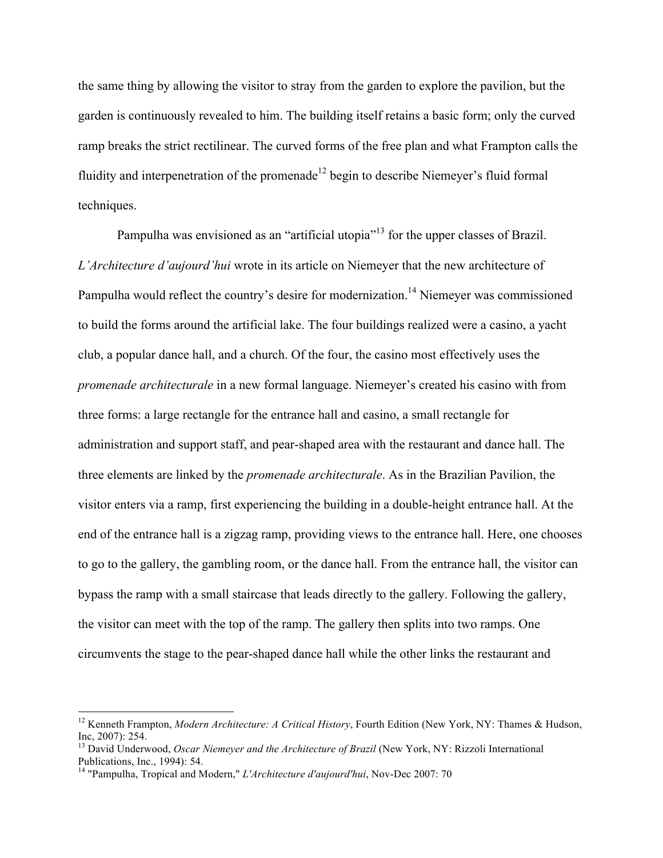the same thing by allowing the visitor to stray from the garden to explore the pavilion, but the garden is continuously revealed to him. The building itself retains a basic form; only the curved ramp breaks the strict rectilinear. The curved forms of the free plan and what Frampton calls the fluidity and interpenetration of the promenade<sup>12</sup> begin to describe Niemeyer's fluid formal techniques.

Pampulha was envisioned as an "artificial utopia"<sup>13</sup> for the upper classes of Brazil. *L'Architecture d'aujourd'hui* wrote in its article on Niemeyer that the new architecture of Pampulha would reflect the country's desire for modernization.<sup>14</sup> Niemeyer was commissioned to build the forms around the artificial lake. The four buildings realized were a casino, a yacht club, a popular dance hall, and a church. Of the four, the casino most effectively uses the *promenade architecturale* in a new formal language. Niemeyer's created his casino with from three forms: a large rectangle for the entrance hall and casino, a small rectangle for administration and support staff, and pear-shaped area with the restaurant and dance hall. The three elements are linked by the *promenade architecturale*. As in the Brazilian Pavilion, the visitor enters via a ramp, first experiencing the building in a double-height entrance hall. At the end of the entrance hall is a zigzag ramp, providing views to the entrance hall. Here, one chooses to go to the gallery, the gambling room, or the dance hall. From the entrance hall, the visitor can bypass the ramp with a small staircase that leads directly to the gallery. Following the gallery, the visitor can meet with the top of the ramp. The gallery then splits into two ramps. One circumvents the stage to the pear-shaped dance hall while the other links the restaurant and

<sup>&</sup>lt;sup>12</sup> Kenneth Frampton, *Modern Architecture: A Critical History*, Fourth Edition (New York, NY: Thames & Hudson,

Inc, 2007): 254.<br><sup>13</sup> David Underwood, *Oscar Niemeyer and the Architecture of Brazil* (New York, NY: Rizzoli International Publications, Inc., 1994): 54.

<sup>&</sup>lt;sup>14</sup> "Pampulha, Tropical and Modern," *L'Architecture d'aujourd'hui*, Nov-Dec 2007: 70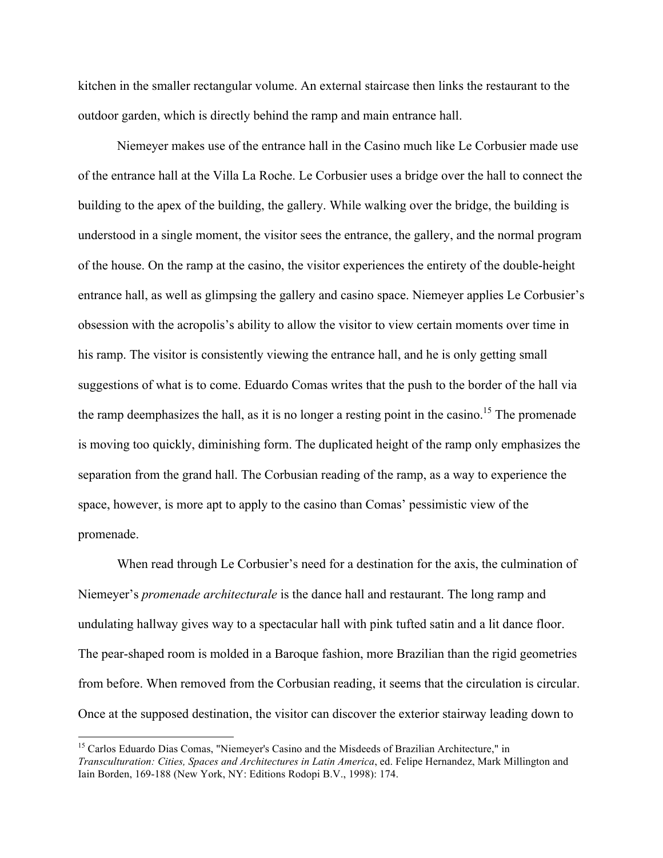kitchen in the smaller rectangular volume. An external staircase then links the restaurant to the outdoor garden, which is directly behind the ramp and main entrance hall.

Niemeyer makes use of the entrance hall in the Casino much like Le Corbusier made use of the entrance hall at the Villa La Roche. Le Corbusier uses a bridge over the hall to connect the building to the apex of the building, the gallery. While walking over the bridge, the building is understood in a single moment, the visitor sees the entrance, the gallery, and the normal program of the house. On the ramp at the casino, the visitor experiences the entirety of the double-height entrance hall, as well as glimpsing the gallery and casino space. Niemeyer applies Le Corbusier's obsession with the acropolis's ability to allow the visitor to view certain moments over time in his ramp. The visitor is consistently viewing the entrance hall, and he is only getting small suggestions of what is to come. Eduardo Comas writes that the push to the border of the hall via the ramp deemphasizes the hall, as it is no longer a resting point in the casino.<sup>15</sup> The promenade is moving too quickly, diminishing form. The duplicated height of the ramp only emphasizes the separation from the grand hall. The Corbusian reading of the ramp, as a way to experience the space, however, is more apt to apply to the casino than Comas' pessimistic view of the promenade.

When read through Le Corbusier's need for a destination for the axis, the culmination of Niemeyer's *promenade architecturale* is the dance hall and restaurant. The long ramp and undulating hallway gives way to a spectacular hall with pink tufted satin and a lit dance floor. The pear-shaped room is molded in a Baroque fashion, more Brazilian than the rigid geometries from before. When removed from the Corbusian reading, it seems that the circulation is circular. Once at the supposed destination, the visitor can discover the exterior stairway leading down to

<sup>&</sup>lt;sup>15</sup> Carlos Eduardo Dias Comas, "Niemeyer's Casino and the Misdeeds of Brazilian Architecture," in *Transculturation: Cities, Spaces and Architectures in Latin America*, ed. Felipe Hernandez, Mark Millington and Iain Borden, 169-188 (New York, NY: Editions Rodopi B.V., 1998): 174.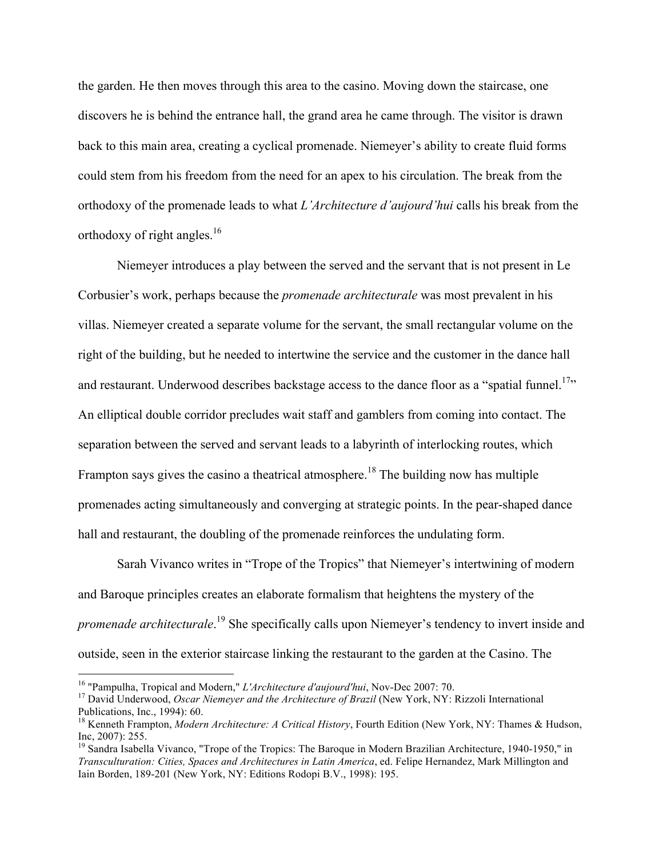the garden. He then moves through this area to the casino. Moving down the staircase, one discovers he is behind the entrance hall, the grand area he came through. The visitor is drawn back to this main area, creating a cyclical promenade. Niemeyer's ability to create fluid forms could stem from his freedom from the need for an apex to his circulation. The break from the orthodoxy of the promenade leads to what *L'Architecture d'aujourd'hui* calls his break from the orthodoxy of right angles.<sup>16</sup>

Niemeyer introduces a play between the served and the servant that is not present in Le Corbusier's work, perhaps because the *promenade architecturale* was most prevalent in his villas. Niemeyer created a separate volume for the servant, the small rectangular volume on the right of the building, but he needed to intertwine the service and the customer in the dance hall and restaurant. Underwood describes backstage access to the dance floor as a "spatial funnel.<sup>17</sup>" An elliptical double corridor precludes wait staff and gamblers from coming into contact. The separation between the served and servant leads to a labyrinth of interlocking routes, which Frampton says gives the casino a theatrical atmosphere.<sup>18</sup> The building now has multiple promenades acting simultaneously and converging at strategic points. In the pear-shaped dance hall and restaurant, the doubling of the promenade reinforces the undulating form.

Sarah Vivanco writes in "Trope of the Tropics" that Niemeyer's intertwining of modern and Baroque principles creates an elaborate formalism that heightens the mystery of the *promenade architecturale*. 19 She specifically calls upon Niemeyer's tendency to invert inside and outside, seen in the exterior staircase linking the restaurant to the garden at the Casino. The

<sup>&</sup>lt;sup>16</sup> "Pampulha, Tropical and Modern," *L'Architecture d'aujourd'hui*, Nov-Dec 2007: 70.<br><sup>17</sup> David Underwood, *Oscar Niemeyer and the Architecture of Brazil* (New York, NY: Rizzoli International Publications, Inc., 1994):

<sup>&</sup>lt;sup>18</sup> Kenneth Frampton, *Modern Architecture: A Critical History*, Fourth Edition (New York, NY: Thames & Hudson, Inc., 2007): 255.

 $19$  Sandra Isabella Vivanco, "Trope of the Tropics: The Baroque in Modern Brazilian Architecture, 1940-1950," in *Transculturation: Cities, Spaces and Architectures in Latin America*, ed. Felipe Hernandez, Mark Millington and Iain Borden, 189-201 (New York, NY: Editions Rodopi B.V., 1998): 195.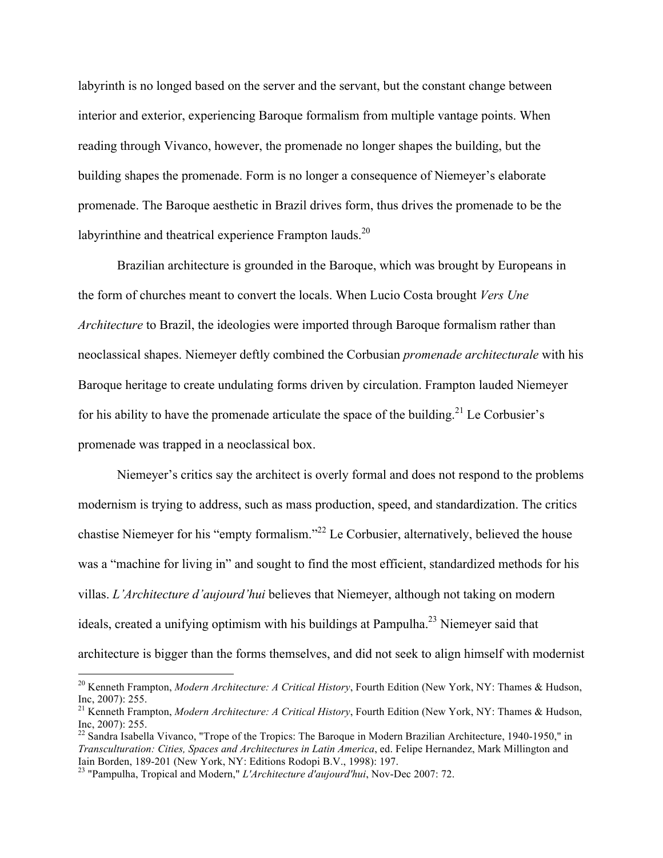labyrinth is no longed based on the server and the servant, but the constant change between interior and exterior, experiencing Baroque formalism from multiple vantage points. When reading through Vivanco, however, the promenade no longer shapes the building, but the building shapes the promenade. Form is no longer a consequence of Niemeyer's elaborate promenade. The Baroque aesthetic in Brazil drives form, thus drives the promenade to be the labyrinthine and theatrical experience Frampton lauds. $^{20}$ 

Brazilian architecture is grounded in the Baroque, which was brought by Europeans in the form of churches meant to convert the locals. When Lucio Costa brought *Vers Une Architecture* to Brazil, the ideologies were imported through Baroque formalism rather than neoclassical shapes. Niemeyer deftly combined the Corbusian *promenade architecturale* with his Baroque heritage to create undulating forms driven by circulation. Frampton lauded Niemeyer for his ability to have the promenade articulate the space of the building.<sup>21</sup> Le Corbusier's promenade was trapped in a neoclassical box.

Niemeyer's critics say the architect is overly formal and does not respond to the problems modernism is trying to address, such as mass production, speed, and standardization. The critics chastise Niemeyer for his "empty formalism."<sup>22</sup> Le Corbusier, alternatively, believed the house was a "machine for living in" and sought to find the most efficient, standardized methods for his villas. *L'Architecture d'aujourd'hui* believes that Niemeyer, although not taking on modern ideals, created a unifying optimism with his buildings at Pampulha.<sup>23</sup> Niemeyer said that architecture is bigger than the forms themselves, and did not seek to align himself with modernist

<sup>&</sup>lt;sup>20</sup> Kenneth Frampton, *Modern Architecture: A Critical History*, Fourth Edition (New York, NY: Thames & Hudson, Inc. 2007): 255.

<sup>&</sup>lt;sup>21</sup> Kenneth Frampton, *Modern Architecture: A Critical History*, Fourth Edition (New York, NY: Thames & Hudson, Inc, 2007): 255.

 $^{22}$  Sandra Isabella Vivanco, "Trope of the Tropics: The Baroque in Modern Brazilian Architecture, 1940-1950," in *Transculturation: Cities, Spaces and Architectures in Latin America*, ed. Felipe Hernandez, Mark Millington and Iain Borden, 189-201 (New York, NY: Editions Rodopi B.V., 1998): 197. <sup>23</sup> "Pampulha, Tropical and Modern," *L'Architecture d'aujourd'hui*, Nov-Dec 2007: 72.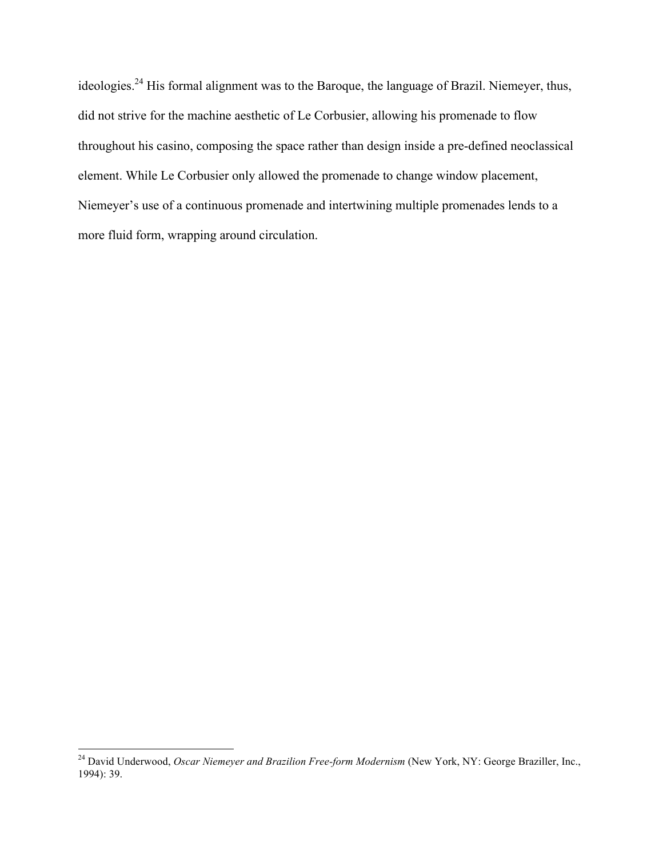ideologies.<sup>24</sup> His formal alignment was to the Baroque, the language of Brazil. Niemeyer, thus, did not strive for the machine aesthetic of Le Corbusier, allowing his promenade to flow throughout his casino, composing the space rather than design inside a pre-defined neoclassical element. While Le Corbusier only allowed the promenade to change window placement, Niemeyer's use of a continuous promenade and intertwining multiple promenades lends to a more fluid form, wrapping around circulation.

<sup>&</sup>lt;sup>24</sup> David Underwood, *Oscar Niemeyer and Brazilion Free-form Modernism* (New York, NY: George Braziller, Inc., 1994): 39.